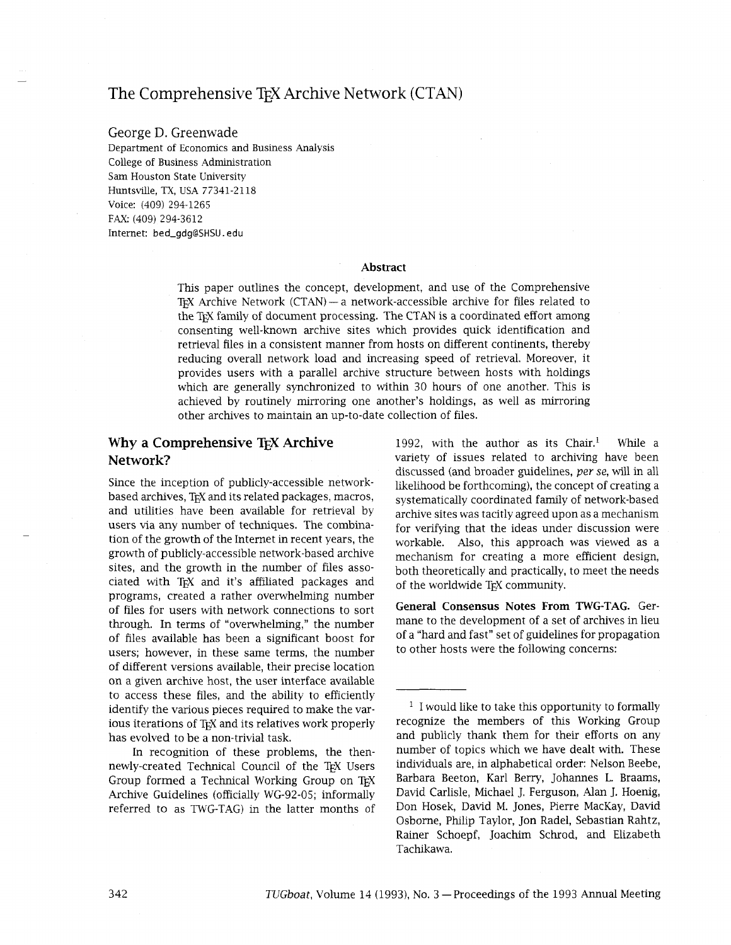# The Comprehensive T<sub>F</sub>X Archive Network (CTAN)

## George D. Greenwade

Department of Economics and Business Analysis College of Business Administration Sam Houston State University Huntsville, TX, USA 77341-21 18 Voice: (409) 294-1265 FAX: (409) 294-3612 Internet: bed-gdg@SHSU. edu

#### **Abstract**

This paper outlines the concept, development, and use of the Comprehensive TEX Archive Network (CTAN) - a network-accessible archive for files related to the TEX family of document processing. The CTAN is a coordinated effort among consenting well-known archive sites which provides quick identification and retrieval files in a consistent manner from hosts on different continents, thereby reducing overall network load and increasing speed of retrieval. Moreover, it provides users with a parallel archive structure between hosts with holdings which are generally synchronized to within 30 hours of one another. This is achieved by routinely mirroring one another's holdings, as well as mirroring other archives to maintain an up-to-date collection of files.

# **Why a Comprehensive TEX Archive Network?**

Since the inception of publicly-accessible networkbased archives, TEX and its related packages, macros, and utilities have been available for retrieval by users via any number of techniques. The combination of the growth of the Internet in recent years, the growth of publicly-accessible network-based archive sites, and the growth in the number of files associated with TEX and it's affiliated packages and programs, created a rather overwhelming number of files for users with network connections to sort through. In terms of "overwhelming," the number of files available has been a significant boost for users; however, in these same terms, the number of different versions available, their precise location on a given archive host, the user interface available to access these files, and the ability to efficiently identify the various pieces required to make the various iterations of T<sub>F</sub>X and its relatives work properly has evolved to be a non-trivial task.

In recognition of these problems, the thennewly-created Technical Council of the TEX Users Group formed a Technical Working Group on TEX Archive Guidelines (officially WG-92-05; informally referred to as TWG-TAG) in the latter months of 1992, with the author as its Chair.' While a variety of issues related to archiving have been discussed (and broader guidelines, per se, will in all likelihood be forthcoming), the concept of creating a systematically coordinated family of network-based archive sites was tacitly agreed upon as a mechanism for verifying that the ideas under discussion were workable. Also, this approach was viewed as a mechanism for creating a more efficient design, both theoretically and practically, to meet the needs of the worldwide TEX community.

**General Consensus Notes From WG-TAG.** Germane to the development of a set of archives in lieu of a "hard and fast" set of guidelines for propagation to other hosts were the following concerns:

 $<sup>1</sup>$  I would like to take this opportunity to formally</sup> recognize the members of ths Working Group and publicly thank them for their efforts on any number of topics which we have dealt with. These individuals are, in alphabetical order: Nelson Beebe, Barbara Beeton, Karl Berry, Johannes L. Braams, David Carlisle, Michael J. Ferguson, Alan J. Hoenig, Don Hosek, David M. Jones, Pierre MacKay, David Osborne, Philip Taylor, Jon Radel, Sebastian Rahtz, Rainer Schoepf, Joachim Schrod, and Elizabeth Tachikawa.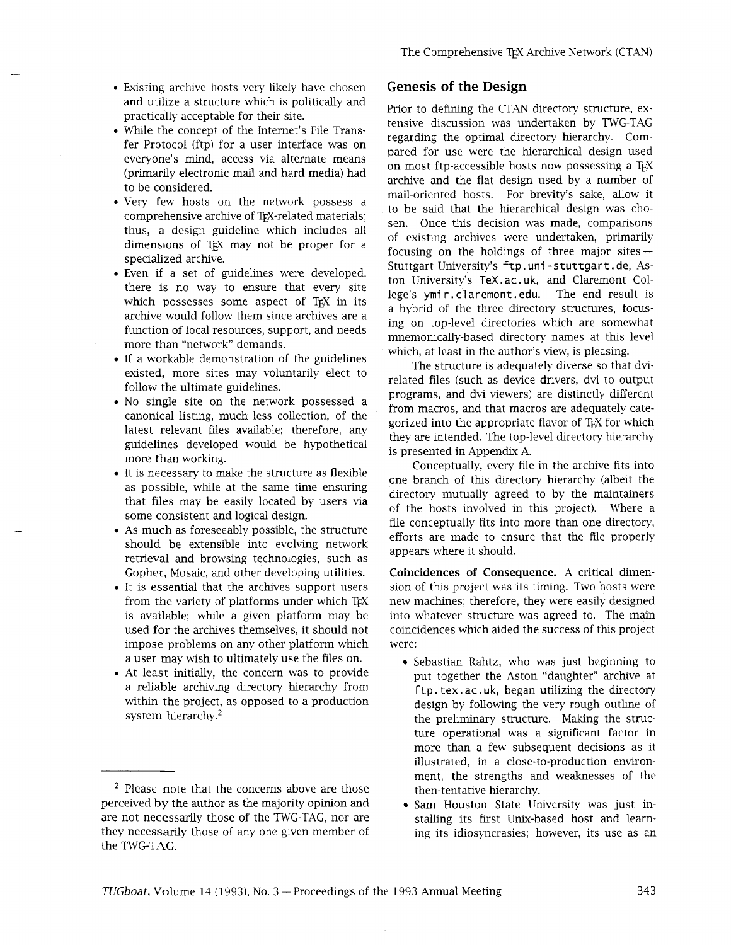- Existing archive hosts very likely have chosen **Genesis of the Design**  and utilize a structure which is politically and practically acceptable for their site.
- While the concept of the Internet's File Transfer Protocol (ftp) for a user interface was on everyone's mind, access via alternate means (primarily electronic mail and hard media) had to be considered.
- Very few hosts on the network possess a comprehensive archive of TEX-related materials; thus, a design guideline which includes all dimensions of T<sub>F</sub>X may not be proper for a specialized archive.
- Even if a set of guidelines were developed, there is no way to ensure that every site which possesses some aspect of  $TrX$  in its archive would follow them since archives are a function of local resources, support, and needs more than "network" demands.
- If a workable demonstration of the guidelines existed, more sites may voluntarily elect to follow the ultimate guidelines.
- No single site on the network possessed a canonical listing, much less collection, of the latest relevant files available; therefore, any guidelines developed would be hypothetical more than working.
- It is necessary to make the structure as flexible as possible, while at the same time ensuring that files may be easily located by users via some consistent and logical design.
- As much as foreseeably possible, the structure should be extensible into evolving network retrieval and browsing technologies, such as Gopher, Mosaic, and other developing utilities.
- It is essential that the archives support users from the variety of platforms under which TFX is available; while a given platform may be used for the archives themselves, it should not impose problems on any other platform which a user may wish to ultimately use the files on.
- At least initially, the concern was to provide a reliable archiving directory hierarchy from within the project, as opposed to a production system hierarchy. $2$

Prior to defining the CTAN directory structure, extensive discussion was undertaken by TWG-TAG regarding the optimal directory hierarchy. Compared for use were the herarchical design used on most ftp-accessible hosts now possessing a TFX archive and the flat design used by a number of mail-oriented hosts. For brevity's sake, allow it to be said that the hierarchical design was chosen. Once this decision was made, comparisons of existing archives were undertaken, primarily focusing on the holdings of three major sites $-$ Stuttgart University's ftp. uni -stuttgart. de, Aston University's TeX.ac.uk, and Claremont College's ymir. claremont. edu. The end result is a hybrid of the three directory structures, focusing on top-level directories which are somewhat mnemonically-based directory names at this level which, at least in the author's view, is pleasing.

The structure is adequately diverse so that dvirelated files (such as device drivers, dvi to output programs, and dvi viewers) are distinctly different from macros, and that macros are adequately categorized into the appropriate flavor of TFX for which they are intended. The top-level directory hierarchy is presented in Appendix A.

Conceptually, every file in the archive fits into one branch of this directory hierarchy (albeit the directory mutually agreed to by the maintainers of the hosts involved in this project). Where a file conceptually fits into more than one directory, efforts are made to ensure that the file properly appears where it should.

**Coincidences of Consequence. A** critical dimension of ths project was its timing. Two hosts were new machines; therefore, they were easily designed into whatever structure was agreed to. The main coincidences which aided the success of this project were:

- Sebastian Rahtz, who was just beginning to put together the Aston "daughter" archive at ftp . tex. ac. uk, began utilizing the directory design by following the very rough outline of the preliminary structure. Making the structure operational was a significant factor in more than a few subsequent decisions as it illustrated, in a close-to-production environment, the strengths and weaknesses of the
- Sam Houston State University was just in-

<sup>&</sup>lt;sup>2</sup> Please note that the concerns above are those then-tentative hierarchy.<br>
perceived by the author as the majority opinion and  $\bullet$  Sam Houston State Un are not necessarily those of the TWG-TAG, nor are stalling its first Unix-based host and learnthey necessarily those of any one given member of ing its idiosyncrasies; however, its use as an the TWG-TAG.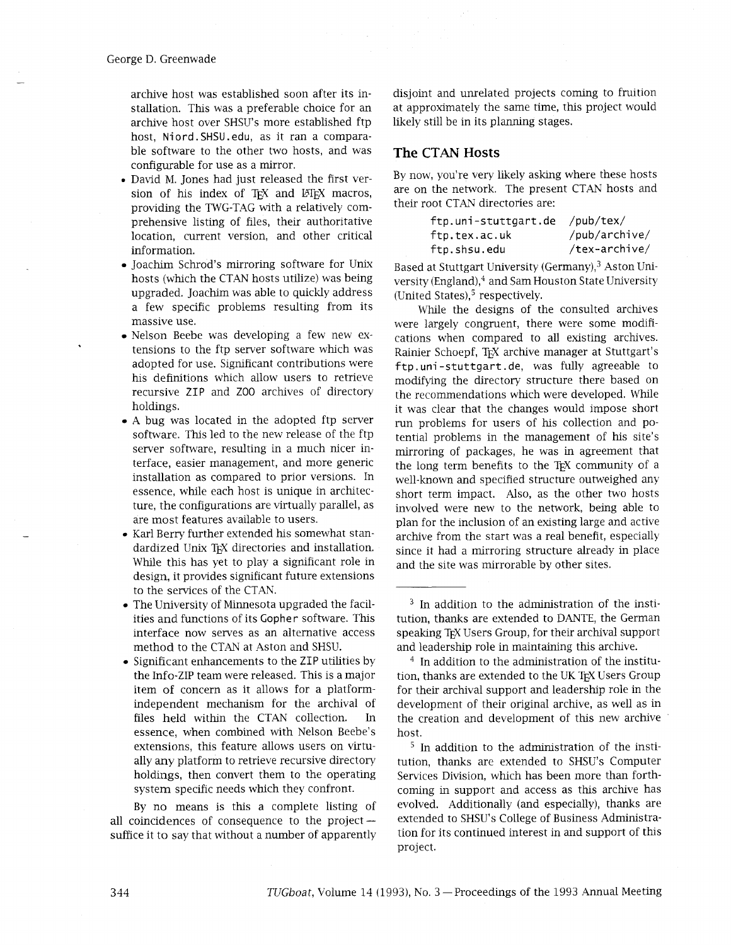archive host was established soon after its installation. This was a preferable choice for an archive host over SHSU's more established ftp host, Niord. SHSU .edu, as it ran a comparable software to the other two hosts, and was configurable for use as a mirror.

- David M. Jones had just released the first version of his index of TFX and LHFX macros, providing the TWG-TAG with a relatively comprehensive listing of files, their authoritative location, current version, and other critical information.
- Joachim Schrod's mirroring software for Unix hosts (which the CTAN hosts utilize) was being upgraded. Joachim was able to quickly address a few specific problems resulting from its massive use.
- Nelson Beebe was developing a few new extensions to the ftp server software which was adopted for use. Significant contributions were his definitions which allow users to retrieve recursive ZIP and Z00 archives of directory holdings.
- A bug was located in the adopted ftp server software. This led to the new release of the ftp server software, resulting in a much nicer interface, easier management, and more generic installation as compared to prior versions. In essence, while each host is unique in architecture, the configurations are virtually parallel, as are most features available to users.
- Karl Berry further extended his somewhat standardized Unix TEX directories and installation. While this has yet to play a significant role in design, it provides significant future extensions to the services of the CTAN.
- The University of Minnesota upgraded the facilities and functions of its Gopher software. This interface now serves as an alternative access method to the CTAN at Aston and SHSU.
- Significant enhancements to the ZIP utilities by the Info-ZIP team were released. This is a major item of concern as it allows for a platformindependent mechanism for the archival of files held within the CTAN collection. In essence, when combined with Nelson Beebe's extensions, this feature allows users on virtually any platform to retrieve recursive directory holdings, then convert them to the operating system specific needs which they confront.

By no means is this a complete listing of all coincidences of consequence to the project $$ suffice it to say that without a number of apparently disjoint and unrelated projects coming to fruition at approximately the same time, this project would likely still be in its planning stages.

# **The CTAN Hosts**

By now, you're very likely asking where these hosts are on the network. The present CTAN hosts and their root CTAN directories are:

| ftp.uni-stuttgart.de | /pub/tex/     |
|----------------------|---------------|
| ftp.tex.ac.uk        | /pub/archive/ |
| ftp.shsu.edu         | /tex-archive/ |

Based at Stuttgart University (Germany),<sup>3</sup> Aston University (England),<sup>4</sup> and Sam Houston State University (United States), $5$  respectively.

Whde the designs of the consulted archives were largely congruent, there were some modifications when compared to all existing archives. Rainier Schoepf, TEX archive manager at Stuttgart's ftp. uni -stuttgart . de, was fully agreeable to modifying the directory structure there based on the recommendations which were developed. While it was clear that the changes would impose short run problems for users of his collection and potential problems in the management of his site's mirroring of packages, he was in agreement that the long term benefits to the TEX community of a well-known and specified structure outweighed any short term impact. Also, as the other two hosts involved were new to the network, being able to plan for the inclusion of an existing large and active archive from the start was a real benefit, especially since it had a mirroring structure already in place and the site was mirrorable by other sites.

 $5$  In addition to the administration of the institution, thanks are extended to SHSU's Computer Services Division, which has been more than forthcoming in support and access as this archive has evolved. Additionally (and especially), thanks are extended to SHSU's College of Business Administration for its continued interest in and support of ths project.

 $3$  In addition to the administration of the institution, thanks are extended to DANTE, the German speaking T<sub>F</sub>X Users Group, for their archival support and leadership role in maintaining this archive.

 $4$  In addition to the administration of the institution, thanks are extended to the UK TEX Users Group for their archival support and leadership role in the development of their original archive, as well as in the creation and development of this new archive host.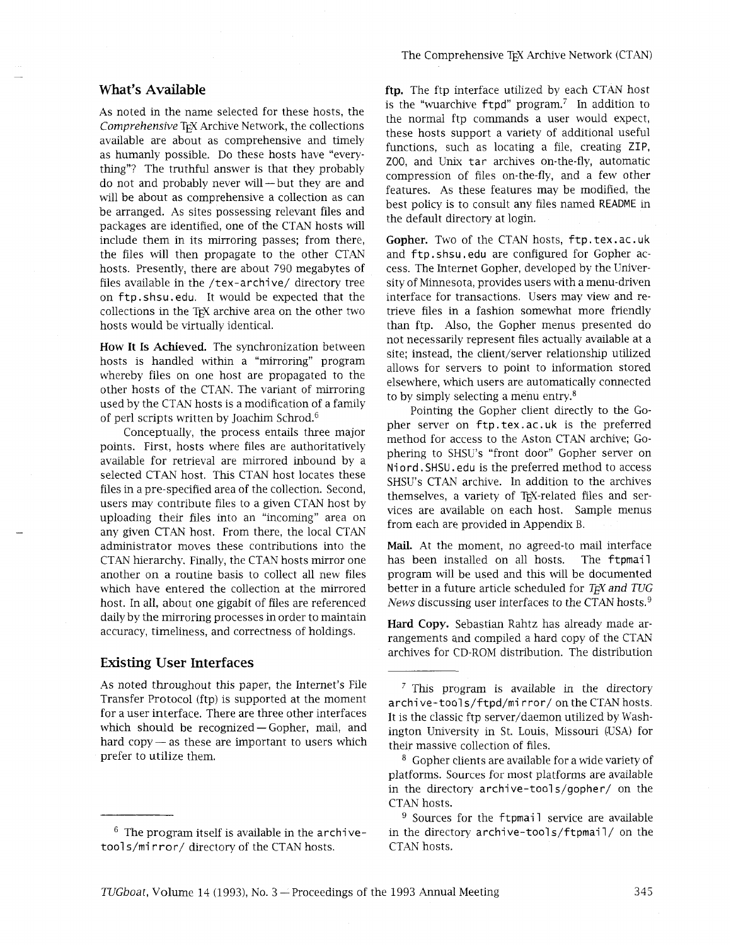# **What's Available**

As noted in the name selected for these hosts, the Comprehensive TEX Archive Network, the collections available are about as comprehensive and timely as humanly possible. Do these hosts have "everything"? The truthful answer is that they probably do not and probably never will  $-$  but they are and will be about as comprehensive a collection as can be arranged. As sites possessing relevant files and packages are identified, one of the CTAN hosts will include them in its mirroring passes; from there, the files will then propagate to the other CTAN hosts. Presently, there are about 790 megabytes of files available in the /tex-archive/ directory tree on ftp. shsu. edu. It would be expected that the collections in the TEX archive area on the other two hosts would be virtually identical.

**How It Is Achieved.** The synchronization between hosts is handled within a "mirroring" program whereby files on one host are propagated to the other hosts of the CTAN. The variant of mirroring used by the CTAN hosts is a modification of a family of perl scripts written by Joachim Schrod. $6$ 

Conceptually, the process entails three major points. First, hosts where files are authoritatively available for retrieval are mirrored inbound by a selected CTAN host. This CTAN host locates these files in a pre-specified area of the collection. Second, users may contribute files to a given CTAN host by uploading their files into an "incoming" area on any given CTAN host. From there, the local CTAN administrator moves these contributions into the CTAN hierarchy. Finally, the CTAN hosts mirror one another on a routine basis to collect all new files which have entered the collection at the mirrored host. In all, about one gigabit of files are referenced daily by the mirroring processes in order to maintain accuracy, timeliness, and correctness of holdings.

# **Existing User Interfaces**

As noted throughout this paper, the Internet's File Transfer Protocol (ftp) is supported at the moment for a user interface. There are three other interfaces for a user interface. There are three other interfaces<br>which should be recognized — Gopher, mail, and which should be recognized — Gopher, mail, and<br>hard copy — as these are important to users which prefer to utilize them.

ftp. The ftp interface utilized by each CTAN host is the "wuarchive  $ftpd$ " program.<sup>7</sup> In addition to the normal ftp commands a user would expect, these hosts support a variety of additional useful functions, such as locating a file, creating ZIP, ZOO, and Unix tar archives on-the-fly, automatic compression of files on-the-fly, and a few other features. As these features may be modified, the best policy is to consult any files named README in the default directory at login.

**Gopher.** Two of the CTAN hosts, ftp. tex. ac. uk and ftp. shsu. edu are configured for Gopher access. The Internet Gopher, developed by the University of Minnesota, provides users with a menu-driven interface for transactions. Users may view and retrieve files in a fashion somewhat more friendly than ftp. Also, the Gopher menus presented do not necessarily represent files actually available at a site; instead, the client/server relationship utilized allows for servers to point to information stored elsewhere, which users are automatically connected to by simply selecting a menu entry.8

Pointing the Gopher client directly to the Gopher server on ftp.tex.ac.uk is the preferred method for access to the Aston CTAN archive; Gophering to SHSU's "front door" Gopher server on Ni ord. SHSU . edu is the preferred method to access SHSU's CTAN archive. In addition to the archives themselves, a variety of T<sub>EX-related</sub> files and services are available on each host. Sample menus from each are provided in Appendix B.

Mail. At the moment, no agreed-to mail interface has been installed on all hosts. The ftpmail program will be used and ths will be documented better in a future article scheduled for *TEX and TUG* News discussing user interfaces to the CTAN hosts. $9$ 

**Hard Copy.** Sebastian Rahtz has already made arrangements and compiled a hard copy of the CTAN archives for CD-ROM distribution. The distribution

 $6$  The program itself is available in the archivetool s/mi rror/ directory of the CTAN hosts.

 $<sup>7</sup>$  This program is available in the directory</sup> archive-tool s/ftpd/mi rror/ on the CTAN hosts. It is the classic ftp server/daemon utilized by Washington University in St. Louis, Missouri (USA) for their massive collection of files.

<sup>&</sup>lt;sup>8</sup> Gopher clients are available for a wide variety of platforms. Sources for most platforms are available in the directory archive-tools/gopher/ on the CTAN hosts.

 $9$  Sources for the ftpmail service are available in the directory archive-tools/ftpmail/ on the CTAN hosts.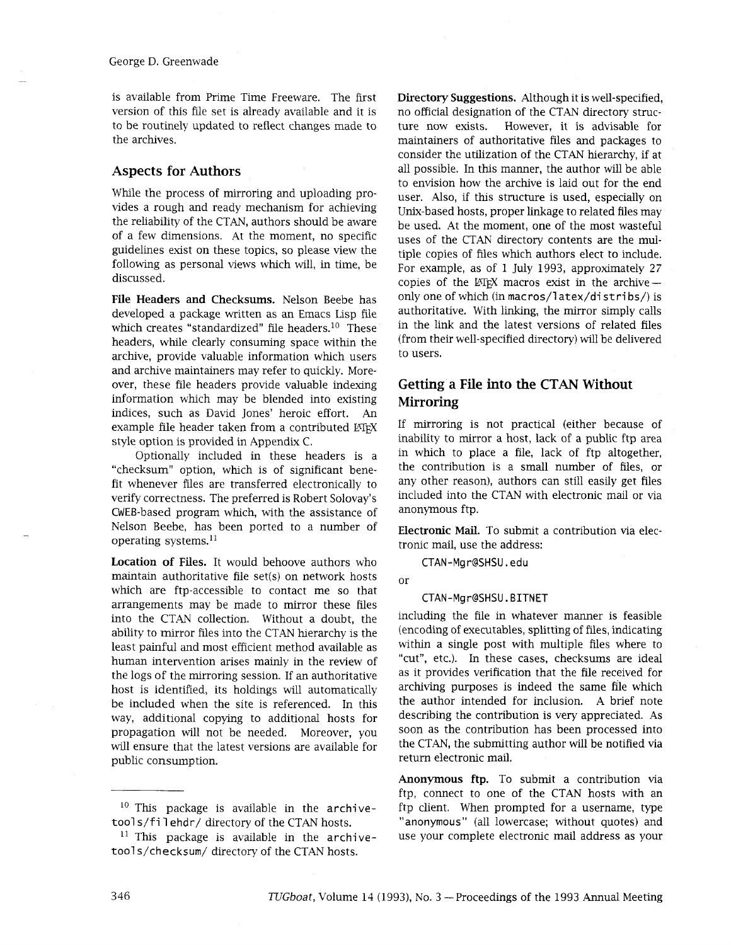is available from Prime Time Freeware. The first version of this file set is already available and it is to be routinely updated to reflect changes made to the archives.

## **Aspects for Authors**

While the process of mirroring and uploading provides a rough and ready mechanism for acheving the reliability of the CTAN, authors should be aware of a few dimensions. At the moment, no specific guidelines exist on these topics, so please view the following as personal views which will, in time, be discussed.

File Headers and Checksums. Nelson Beebe has developed a package written as an Emacs Lisp file which creates "standardized" file headers.<sup>10</sup> These headers, while clearly consuming space within the archive, provide valuable information which users and archive maintainers may refer to quickly. Moreover, these file headers provide valuable indexing information which may be blended into existing indices, such as David Jones' heroic effort. An example file header taken from a contributed LATEX style option is provided in Appendix C.

Optionally included in these headers is a "checksum" option, which is of significant benefit whenever files are transferred electronically to verify correctness. The preferred is Robert Solovay's CWEB-based program which, with the assistance of Nelson Beebe, has been ported to a number of operating systems.ll

Location of Files. It would behoove authors who maintain authoritative file set(s) on network hosts which are ftp-accessible to contact me so that arrangements may be made to mirror these files into the CTAN collection. Without a doubt, the ability to mirror files into the CTAN hierarchy is the least painful and most efficient method available as human intervention arises mainly in the review of the logs of the mirroring session. If an authoritative host is identified, its holdings will automatically be included when the site is referenced. In this way, additional copying to additional hosts for propagation will not be needed. Moreover, you will ensure that the latest versions are available for public consumption.

Directory Suggestions. Although it is well-specified, no official designation of the CTAN directory structure now exists. However, it is advisable for maintainers of authoritative files and packages to consider the utilization of the CTAN hierarchy, if at all possible. In this manner, the author will be able to envision how the archive is laid out for the end user. Also, if this structure is used, especially on Unix-based hosts, proper linkage to related files may be used. At the moment, one of the most wasteful uses of the CTAN directory contents are the multiple copies of files which authors elect to include. For example, as of 1 July 1993, approximately 27 copies of the  $MFX$  macros exist in the archive $$ only one of which (in macros/latex/distribs/) is authoritative. With linking, the mirror simply calls in the link and the latest versions of related files (from their well-specified directory) will be delivered to users.

# **Getting a File into the CTAN Without Mirroring**

If mirroring is not practical (either because of inability to mirror a host, lack of a public ftp area in which to place a file, lack of ftp altogether, the contribution is a small number of files, or any other reason), authors can still easily get files included into the CTAN with electronic mail or via anonymous ftp.

Electronic Mail. To submit a contribution via electronic mail, use the address:

CTAN-Mgr@SHSU.edu

or

#### CTAN-Mgr@SHSU.BITNET

including the file in whatever manner is feasible (encoding of executables, splitting of files, indicating within a single post with multiple files where to "cut", etc.). In these cases, checksums are ideal as it provides verification that the file received for archiving purposes is indeed the same file which the author intended for inclusion. A brief note describing the contribution is very appreciated. As soon as the contribution has been processed into the CTAN, the submitting author will be notified via return electronic mail.

Anonymous ftp. To submit a contribution via ftp, connect to one of the CTAN hosts with an ftp client. When prompted for a username, type "anonymous" (all lowercase; without quotes) and use your complete electronic mail address as your

 $10$  This package is available in the archivetool s/fi 1 ehdr/ directory of the CTAN hosts.

 $11$  This package is available in the archivetool s/checksum/ directory of the CTAN hosts.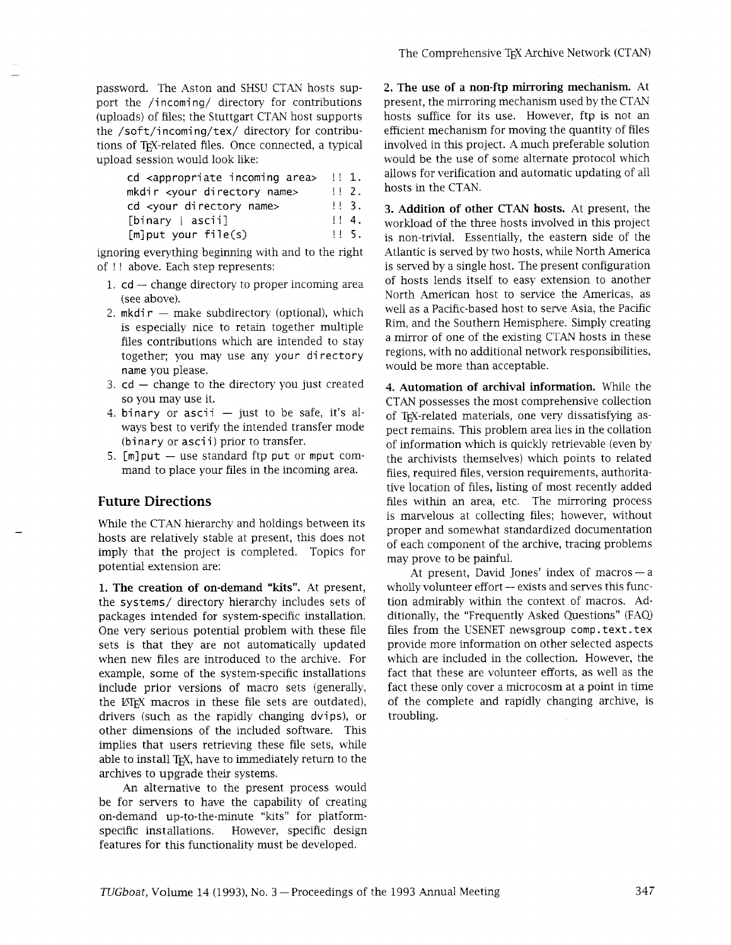password. The Aston and SHSU CTAN hosts support the /incoming/ directory for contributions (uploads) of files; the Stuttgart CTAN host supports the /soft/incoming/tex/ directory for contributions of TEX-related files. Once connected, a typical upload session would look like:

| cd <appropriate area="" incoming=""></appropriate> | $\pm 1.$          |
|----------------------------------------------------|-------------------|
| mkdir <your directory="" name=""></your>           | $\mathbf{1}$ 2.   |
| cd <your directory="" name=""></your>              | 113.              |
| $[binary \mid \text{ascii}]$                       | 1!4.              |
| $[m]$ put your file(s)                             | 11.5 <sub>1</sub> |

ignoring everything beginning with and to the right of !! above. Each step represents:

- 1.  $cd -$  change directory to proper incoming area (see above).
- 2.  $m$ kdi $r m$ ake subdirectory (optional), which is especially nice to retain together multiple files contributions which are intended to stay together; you may use any your directory name you please.
- 3.  $cd$  change to the directory you just created so you may use it.
- 4. binary or ascii  $-$  just to be safe, it's always best to verify the intended transfer mode (binary or asci i) prior to transfer.
- 5.  $[m]$  put  $-$  use standard ftp put or mput command to place your files in the incoming area.

# **Future Directions**

While the CTAN hierarchy and holdings between its hosts are relatively stable at present, this does not imply that the project is completed. Topics for potential extension are:

**1. The creation of on-demand "kits".** At present, the systems/ directory hierarchy includes sets of packages intended for system-specific installation. One very serious potential problem with these file sets is that they are not automatically updated when new files are introduced to the archive. For example, some of the system-specific installations include prior versions of macro sets (generally, the LATEX macros in these file sets are outdated), drivers (such as the rapidly changing dvips), or other dimensions of the included software. This implies that users retrieving these file sets, while able to install T<sub>F</sub>X, have to immediately return to the archives to upgrade their systems.

An alternative to the present process would be for servers to have the capability of creating on-demand up-to-the-minute "kits" for platformspecific installations. However, specific design features for this functionality must be developed.

**2. The use of a non-ftp mirroring mechanism.** At present, the mirroring mechanism used by the CTAN hosts suffice for its use. However, ftp is not an efficient mechanism for moving the quantity of files involved in this project. A much preferable solution would be the use of some alternate protocol which allows for verification and automatic updating of all hosts in the CTAN.

**3. Addition of other CTAN hosts.** At present, the workload of the three hosts involved in this project is non-trivial. Essentially, the eastern side of the Atlantic is served by two hosts, while North America is served by a single host. The present configuration of hosts lends itself to easy extension to another North American host to service the Americas, as well as a Pacific-based host to serve Asia, the Pacific Rim, and the Southern Hemisphere. Simply creating a mirror of one of the existing CTAN hosts in these regions, with no additional network responsibilities, would be more than acceptable.

**4. Automation of archival information.** While the CTAN possesses the most comprehensive collection of TEX-related materials, one very dissatisfying aspect remains. This problem area lies in the collation of information which is quickly retrievable (even by the archivists themselves) which points to related files, required files, version requirements, authoritative location of files, listing of most recently added files within an area, etc. The mirroring process is marvelous at collecting files; however, without proper and somewhat standardized documentation of each component of the archive, tracing problems may prove to be painful.

prove to be painful.<br>At present, David Jones' index of macros — a At present, David Jones' index of macros—a<br>wholly volunteer effort—exists and serves this function admirably within the context of macros. Additionally, the "Frequently Asked Questions" (FA0 files from the USENET newsgroup comp . text. tex provide more information on other selected aspects which are included in the collection. However, the fact that these are volunteer efforts, as well as the fact these only cover a microcosm at a point in time of the complete and rapidly changing archive, is troubling.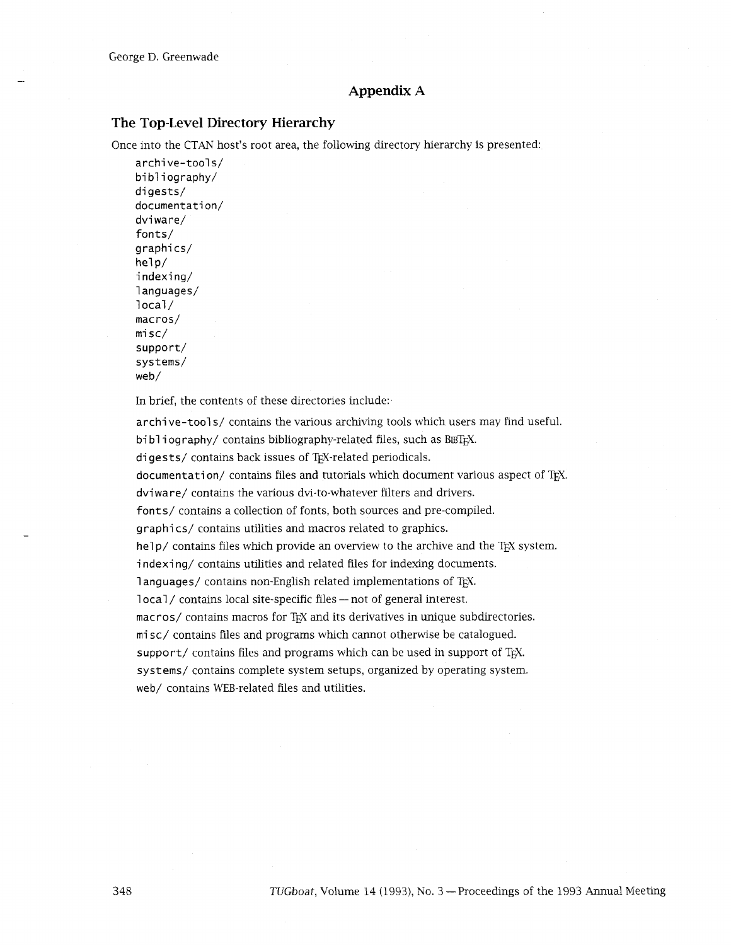## **Appendix A**

#### **The Top-Level Directory Hierarchy**

Once into the CTAN host's root area, the following directory herarchy is presented:

archi ve-tool s/ bibliography/ digests/ documentation/ dvi ware/ fonts/ graphi cs/  $he1p/$ indexing/ 1 anguages/  $10$ ca $1/$ macros/ mi sc/ support/ systems/ web/

In brief, the contents of these directories include:

archive-tool s/ contains the various archiving tools which users may find useful. bibliography/ contains bibliography-related files, such as BETEX. digests/ contains back issues of TEX-related periodicals. documentation/ contains files and tutorials which document various aspect of TpX. dvi ware/ contains the various dvi-to-whatever filters and drivers. fonts/ contains a collection of fonts, both sources and pre-compiled. graphics/ contains utilities and macros related to graphics. he1p/ contains files which provide an overview to the archive and the TEX system. indexing/ contains utilities and related files for indexing documents. 1 anguages/ contains non-English related implementations of TEX. local/ contains local site-specific files - not of general interest. macros/ contains macros for TEX and its derivatives in unique subdirectories. mi sc/ contains files and programs which cannot otherwise be catalogued. support/ contains files and programs which can be used in support of T<sub>EX</sub>. systems/ contains complete system setups, organized by operating system. web/ contains WEB-related files and utilities.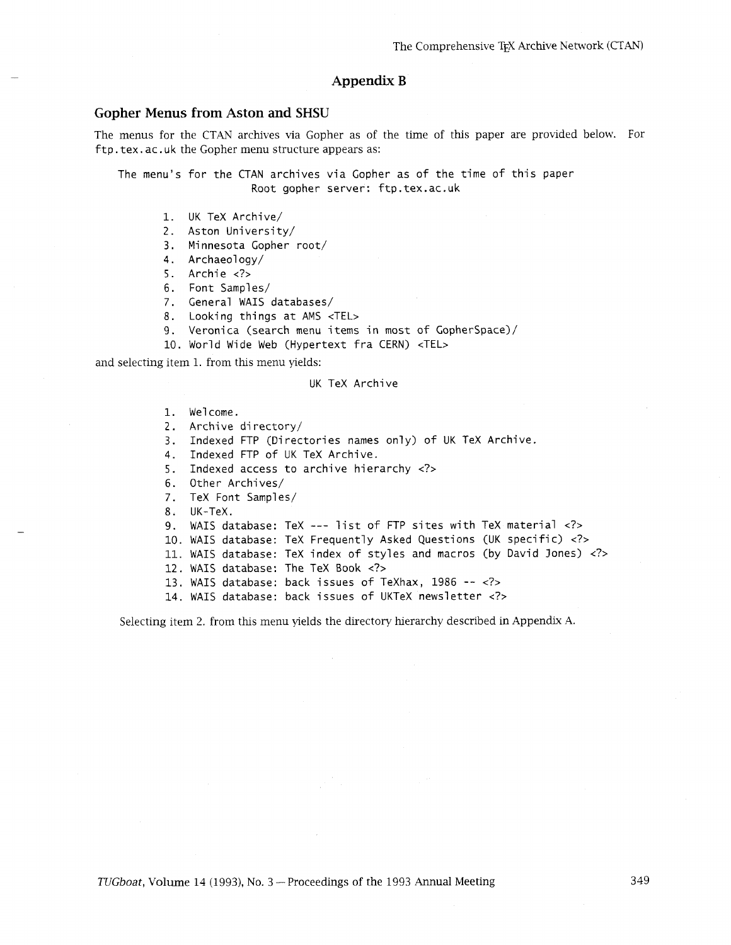## **Appendix B**

#### **Gopher Menus from Aston and SHSU**

The menus for the CTAN archives via Gopher as of the time of ths paper are provided below. For ftp. tex. ac. uk the Gopher menu structure appears as:

The menu's for the CTAN archives via Gopher as of the time of this paper Root gopher server: ftp.tex.ac.uk

- 1. UK TeX Archive/
- 2. Aston University/
- 3. Minnesota Gopher root/
- 4. Archaeology/
- 5. Archie <?>
- 6. Font Samples/
- **7.** General WAIS databases/
- 8. Looking things at AMS <TEL>
- 9. Veronica (search menu items in most of Copherspace)/
- 10. World Wide Web (Hypertext fra CERN) <TEL>

and selecting item 1. from this menu yields:

#### UK TeX Archive

- 1. We1 come.
- 2. Archive directory/
- 3. Indexed FTP (Directories names only) of UK TeX Archive.
- 4. Indexed FTP of UK TeX Archive.
- 5. Indexed access to archive hierarchy <?>
- 6. Other Archives/
- 7. TeX Font Samples/
- 8. UK-TeX.
- 9. WAIS database: TeX --- list of FTP sites with TeX material <?>
- 10. WAIS database: TeX Frequently Asked Questions (UK specific) <?>
- 11. WAIS database: TeX index of styles and macros (by David Jones) <?>
- 12. WAIS database: The TeX Book <?>
- 13. WAIS database: back issues of TeXhax, 1986 -- <?>
- 14. WAIS database: back issues of UKTeX newsletter **<?7**

Selecting item 2. from this menu yields the directory hierarchy described in Appendix A.

*TUGboat, Volume 14 (1993), No. 3 – Proceedings of the 1993 Annual Meeting*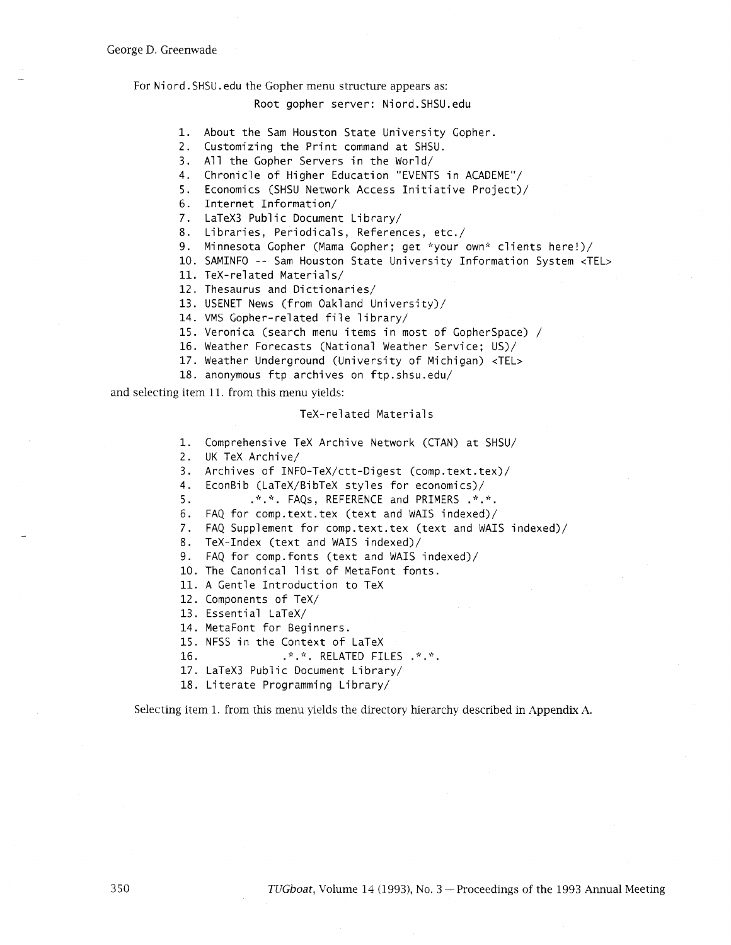#### For Niord. SHSU. edu the Gopher menu structure appears as:

#### Root gopher server: Niord. SHSU. edu

- 1. About the Sam Houston State University Gopher.
- 2. Customizing the Print command at SHSU.
- 3. All the Gopher Servers in the World/
- 4. Chronicle of Higher Education "EVENTS in ACADEME"/
- 5. Economics (SHSU Network Access Initiative Project)/
- 6. Internet Information/
- 7. LaTeX3 Public Document Library/
- 8. Libraries, Periodicals, References, etc./
- 9. Minnesota Gopher (Mama Gopher; get \*your own\* clients here!)/
- 10. SAMINFO -- Sam Houston State University Information System <TEL>
- 11. TeX-related Materials/
- 12. Thesaurus and Dictionaries/
- 13. USENET News (from Oakland University)/
- 14. VMS Gopher-related file library/
- 15. Veronica (search menu items in most of GopherSpace) /
- 16. Weather Forecasts (National Weather Service; US)/
- 17. Weather Underground (University of Michigan) <TEL>
- 18. anonymous ftp archives on ftp. shsu. edu/

and selecting item 11. from this menu yields:

#### TeX-related Materials

1. Comprehensive TeX Archive Network (CTAN) at SHSU/

2. UK TeX Archive/

3. Archives of INFO-TeX/ctt-Digest (comp.text.tex)/

4. EconBib (LaTeX/BibTeX styles for economics)/

5.  $...$   $...$   $...$   $FAQs$ , REFERENCE and PRIMERS .  $...$ 

- 6. FAQ for comp. text. tex (text and WAIS indexed)/
- 7. FAQ Supplement for comp.text. tex (text and WAIS indexed)/
- 8. TeX-Index (text and WAIS indexed)/

9. FAQ for comp.fonts (text and WAIS indexed)/

- 10. The Canonical list of MetaFont fonts.
- 11. A Gentle Introduction to TeX
- 12. Components of TeX/
- 13. Essential LaTeX/
- 14. MetaFont for Beginners.
- 15. NFSS in the Context of LaTeX
- 16. ?:. \*. RELATED FILES .\*. ;':.
- 17. LaTeX3 Public Document Library/
- 18. Literate Programming Library/

Selecting item 1. from this menu yields the directory herarchy described in Appendix A.

350